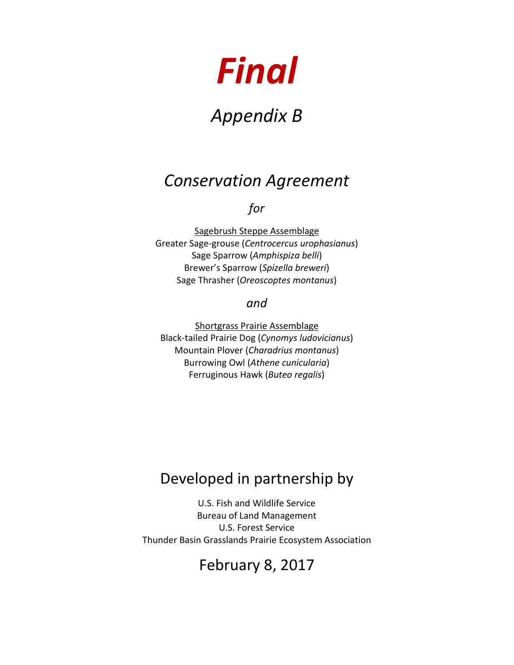# *Final*

# *Appendix B*

# *Conservation Agreement*

## *for*

Sagebrush Steppe Assemblage Greater Sage-grouse (*Centrocercus urophasianus*) Sage Sparrow (*Amphispiza belli*) Brewer's Sparrow (*Spizella breweri*) Sage Thrasher (*Oreoscoptes montanus*)

#### *and*

Shortgrass Prairie Assemblage Black-tailed Prairie Dog (*Cynomys ludovicianus*) Mountain Plover (*Charadrius montanus*) Burrowing Owl (*Athene cunicularia*) Ferruginous Hawk (*Buteo regalis*)

# Developed in partnership by

U.S. Fish and Wildlife Service Bureau of Land Management U.S. Forest Service Thunder Basin Grasslands Prairie Ecosystem Association

## February 8, 2017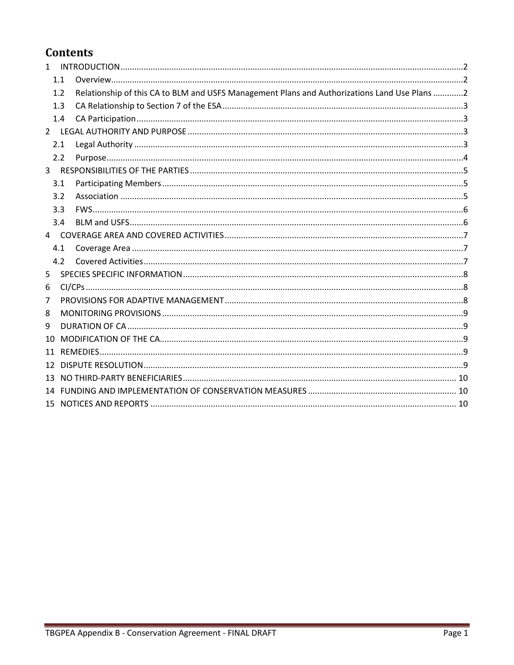## **Contents**

| $\mathbf{1}$   |     |                                                                                              |  |
|----------------|-----|----------------------------------------------------------------------------------------------|--|
|                | 1.1 |                                                                                              |  |
|                | 1.2 | Relationship of this CA to BLM and USFS Management Plans and Authorizations Land Use Plans 2 |  |
|                | 1.3 |                                                                                              |  |
|                | 1.4 |                                                                                              |  |
|                |     |                                                                                              |  |
|                | 2.1 |                                                                                              |  |
|                | 2.2 |                                                                                              |  |
| $\overline{3}$ |     |                                                                                              |  |
|                | 3.1 |                                                                                              |  |
|                | 3.2 |                                                                                              |  |
|                | 3.3 |                                                                                              |  |
|                | 3.4 |                                                                                              |  |
| 4              |     |                                                                                              |  |
|                | 4.1 |                                                                                              |  |
|                | 4.2 |                                                                                              |  |
| 5              |     |                                                                                              |  |
| 6              |     |                                                                                              |  |
| 7              |     |                                                                                              |  |
| 8              |     |                                                                                              |  |
| 9              |     |                                                                                              |  |
| 10             |     |                                                                                              |  |
| 11             |     |                                                                                              |  |
| 12             |     |                                                                                              |  |
| 13             |     |                                                                                              |  |
|                |     |                                                                                              |  |
|                |     |                                                                                              |  |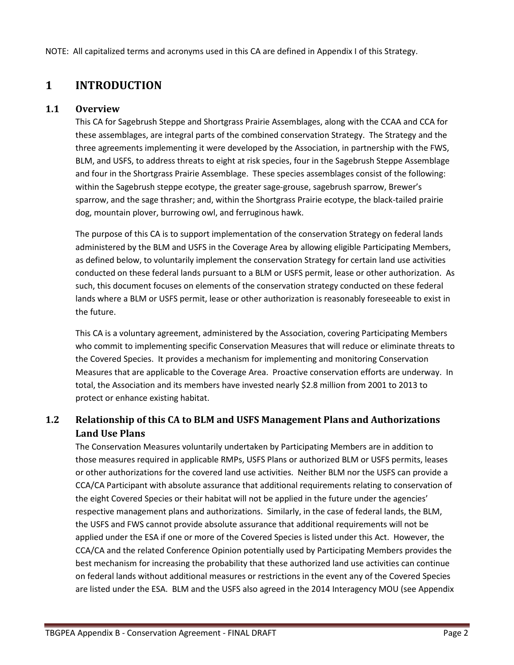NOTE: All capitalized terms and acronyms used in this CA are defined in Appendix I of this Strategy.

## <span id="page-2-0"></span>**1 INTRODUCTION**

#### **1.1 Overview**

<span id="page-2-1"></span>This CA for Sagebrush Steppe and Shortgrass Prairie Assemblages, along with the CCAA and CCA for these assemblages, are integral parts of the combined conservation Strategy. The Strategy and the three agreements implementing it were developed by the Association, in partnership with the FWS, BLM, and USFS, to address threats to eight at risk species, four in the Sagebrush Steppe Assemblage and four in the Shortgrass Prairie Assemblage. These species assemblages consist of the following: within the Sagebrush steppe ecotype, the greater sage-grouse, sagebrush sparrow, Brewer's sparrow, and the sage thrasher; and, within the Shortgrass Prairie ecotype, the black-tailed prairie dog, mountain plover, burrowing owl, and ferruginous hawk.

The purpose of this CA is to support implementation of the conservation Strategy on federal lands administered by the BLM and USFS in the Coverage Area by allowing eligible Participating Members, as defined below, to voluntarily implement the conservation Strategy for certain land use activities conducted on these federal lands pursuant to a BLM or USFS permit, lease or other authorization. As such, this document focuses on elements of the conservation strategy conducted on these federal lands where a BLM or USFS permit, lease or other authorization is reasonably foreseeable to exist in the future.

This CA is a voluntary agreement, administered by the Association, covering Participating Members who commit to implementing specific Conservation Measures that will reduce or eliminate threats to the Covered Species. It provides a mechanism for implementing and monitoring Conservation Measures that are applicable to the Coverage Area. Proactive conservation efforts are underway. In total, the Association and its members have invested nearly \$2.8 million from 2001 to 2013 to protect or enhance existing habitat.

#### **1.2 Relationship of this CA to BLM and USFS Management Plans and Authorizations Land Use Plans**

<span id="page-2-2"></span>The Conservation Measures voluntarily undertaken by Participating Members are in addition to those measures required in applicable RMPs, USFS Plans or authorized BLM or USFS permits, leases or other authorizations for the covered land use activities. Neither BLM nor the USFS can provide a CCA/CA Participant with absolute assurance that additional requirements relating to conservation of the eight Covered Species or their habitat will not be applied in the future under the agencies' respective management plans and authorizations. Similarly, in the case of federal lands, the BLM, the USFS and FWS cannot provide absolute assurance that additional requirements will not be applied under the ESA if one or more of the Covered Species is listed under this Act. However, the CCA/CA and the related Conference Opinion potentially used by Participating Members provides the best mechanism for increasing the probability that these authorized land use activities can continue on federal lands without additional measures or restrictions in the event any of the Covered Species are listed under the ESA. BLM and the USFS also agreed in the 2014 Interagency MOU (see Appendix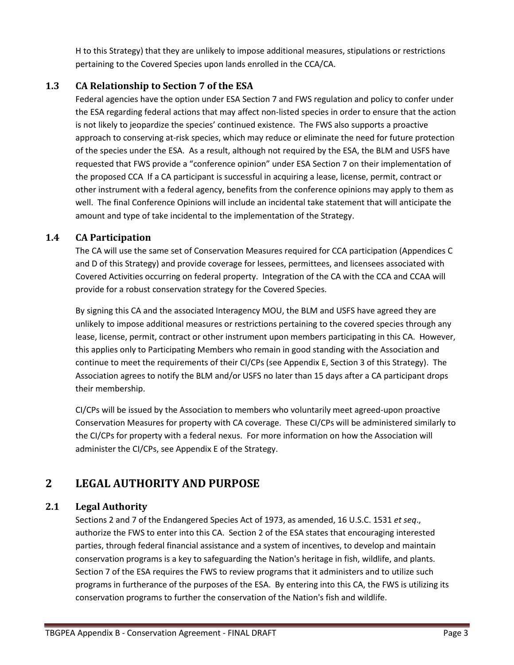H to this Strategy) that they are unlikely to impose additional measures, stipulations or restrictions pertaining to the Covered Species upon lands enrolled in the CCA/CA.

#### <span id="page-3-0"></span>**1.3 CA Relationship to Section 7 of the ESA**

Federal agencies have the option under ESA Section 7 and FWS regulation and policy to confer under the ESA regarding federal actions that may affect non-listed species in order to ensure that the action is not likely to jeopardize the species' continued existence. The FWS also supports a proactive approach to conserving at-risk species, which may reduce or eliminate the need for future protection of the species under the ESA. As a result, although not required by the ESA, the BLM and USFS have requested that FWS provide a "conference opinion" under ESA Section 7 on their implementation of the proposed CCA If a CA participant is successful in acquiring a lease, license, permit, contract or other instrument with a federal agency, benefits from the conference opinions may apply to them as well. The final Conference Opinions will include an incidental take statement that will anticipate the amount and type of take incidental to the implementation of the Strategy.

#### <span id="page-3-1"></span>**1.4 CA Participation**

The CA will use the same set of Conservation Measures required for CCA participation (Appendices C and D of this Strategy) and provide coverage for lessees, permittees, and licensees associated with Covered Activities occurring on federal property. Integration of the CA with the CCA and CCAA will provide for a robust conservation strategy for the Covered Species.

By signing this CA and the associated Interagency MOU, the BLM and USFS have agreed they are unlikely to impose additional measures or restrictions pertaining to the covered species through any lease, license, permit, contract or other instrument upon members participating in this CA. However, this applies only to Participating Members who remain in good standing with the Association and continue to meet the requirements of their CI/CPs (see Appendix E, Section 3 of this Strategy). The Association agrees to notify the BLM and/or USFS no later than 15 days after a CA participant drops their membership.

CI/CPs will be issued by the Association to members who voluntarily meet agreed-upon proactive Conservation Measures for property with CA coverage. These CI/CPs will be administered similarly to the CI/CPs for property with a federal nexus. For more information on how the Association will administer the CI/CPs, see Appendix E of the Strategy.

## <span id="page-3-2"></span>**2 LEGAL AUTHORITY AND PURPOSE**

#### <span id="page-3-3"></span>**2.1 Legal Authority**

Sections 2 and 7 of the Endangered Species Act of 1973, as amended, 16 U.S.C. 1531 *et seq*., authorize the FWS to enter into this CA. Section 2 of the ESA states that encouraging interested parties, through federal financial assistance and a system of incentives, to develop and maintain conservation programs is a key to safeguarding the Nation's heritage in fish, wildlife, and plants. Section 7 of the ESA requires the FWS to review programs that it administers and to utilize such programs in furtherance of the purposes of the ESA. By entering into this CA, the FWS is utilizing its conservation programs to further the conservation of the Nation's fish and wildlife.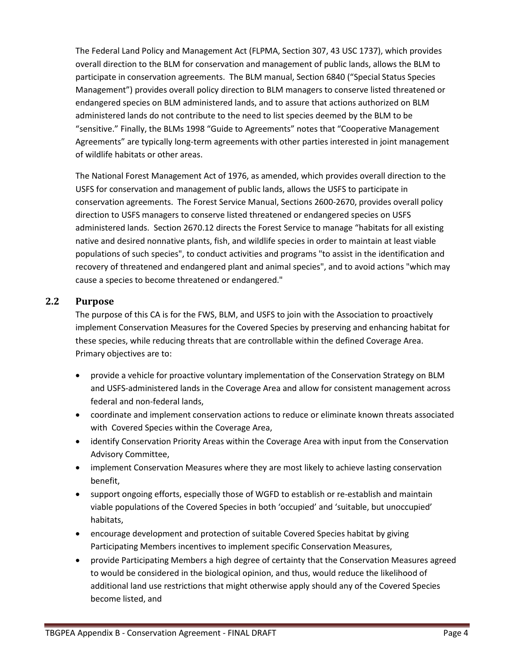The Federal Land Policy and Management Act (FLPMA, Section 307, 43 USC 1737), which provides overall direction to the BLM for conservation and management of public lands, allows the BLM to participate in conservation agreements. The BLM manual, Section 6840 ("Special Status Species Management") provides overall policy direction to BLM managers to conserve listed threatened or endangered species on BLM administered lands, and to assure that actions authorized on BLM administered lands do not contribute to the need to list species deemed by the BLM to be "sensitive." Finally, the BLMs 1998 "Guide to Agreements" notes that "Cooperative Management Agreements" are typically long-term agreements with other parties interested in joint management of wildlife habitats or other areas.

The National Forest Management Act of 1976, as amended, which provides overall direction to the USFS for conservation and management of public lands, allows the USFS to participate in conservation agreements. The Forest Service Manual, Sections 2600-2670, provides overall policy direction to USFS managers to conserve listed threatened or endangered species on USFS administered lands. Section 2670.12 directs the Forest Service to manage "habitats for all existing native and desired nonnative plants, fish, and wildlife species in order to maintain at least viable populations of such species", to conduct activities and programs "to assist in the identification and recovery of threatened and endangered plant and animal species", and to avoid actions "which may cause a species to become threatened or endangered."

#### <span id="page-4-0"></span>**2.2 Purpose**

The purpose of this CA is for the FWS, BLM, and USFS to join with the Association to proactively implement Conservation Measures for the Covered Species by preserving and enhancing habitat for these species, while reducing threats that are controllable within the defined Coverage Area. Primary objectives are to:

- provide a vehicle for proactive voluntary implementation of the Conservation Strategy on BLM and USFS-administered lands in the Coverage Area and allow for consistent management across federal and non-federal lands,
- coordinate and implement conservation actions to reduce or eliminate known threats associated with Covered Species within the Coverage Area,
- identify Conservation Priority Areas within the Coverage Area with input from the Conservation Advisory Committee,
- implement Conservation Measures where they are most likely to achieve lasting conservation benefit,
- support ongoing efforts, especially those of WGFD to establish or re-establish and maintain viable populations of the Covered Species in both 'occupied' and 'suitable, but unoccupied' habitats,
- encourage development and protection of suitable Covered Species habitat by giving Participating Members incentives to implement specific Conservation Measures,
- provide Participating Members a high degree of certainty that the Conservation Measures agreed to would be considered in the biological opinion, and thus, would reduce the likelihood of additional land use restrictions that might otherwise apply should any of the Covered Species become listed, and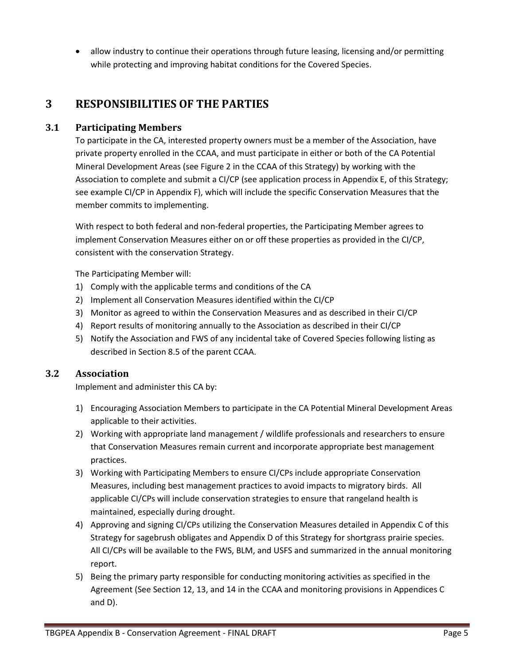<span id="page-5-0"></span>• allow industry to continue their operations through future leasing, licensing and/or permitting while protecting and improving habitat conditions for the Covered Species.

## **3 RESPONSIBILITIES OF THE PARTIES**

#### **3.1 Participating Members**

<span id="page-5-1"></span>To participate in the CA, interested property owners must be a member of the Association, have private property enrolled in the CCAA, and must participate in either or both of the CA Potential Mineral Development Areas (see Figure 2 in the CCAA of this Strategy) by working with the Association to complete and submit a CI/CP (see application process in Appendix E, of this Strategy; see example CI/CP in Appendix F), which will include the specific Conservation Measures that the member commits to implementing.

With respect to both federal and non-federal properties, the Participating Member agrees to implement Conservation Measures either on or off these properties as provided in the CI/CP, consistent with the conservation Strategy.

The Participating Member will:

- 1) Comply with the applicable terms and conditions of the CA
- 2) Implement all Conservation Measures identified within the CI/CP
- 3) Monitor as agreed to within the Conservation Measures and as described in their CI/CP
- 4) Report results of monitoring annually to the Association as described in their CI/CP
- 5) Notify the Association and FWS of any incidental take of Covered Species following listing as described in Section 8.5 of the parent CCAA.

#### **3.2 Association**

<span id="page-5-2"></span>Implement and administer this CA by:

- 1) Encouraging Association Members to participate in the CA Potential Mineral Development Areas applicable to their activities.
- 2) Working with appropriate land management / wildlife professionals and researchers to ensure that Conservation Measures remain current and incorporate appropriate best management practices.
- 3) Working with Participating Members to ensure CI/CPs include appropriate Conservation Measures, including best management practices to avoid impacts to migratory birds. All applicable CI/CPs will include conservation strategies to ensure that rangeland health is maintained, especially during drought.
- 4) Approving and signing CI/CPs utilizing the Conservation Measures detailed in Appendix C of this Strategy for sagebrush obligates and Appendix D of this Strategy for shortgrass prairie species. All CI/CPs will be available to the FWS, BLM, and USFS and summarized in the annual monitoring report.
- 5) Being the primary party responsible for conducting monitoring activities as specified in the Agreement (See Section 12, 13, and 14 in the CCAA and monitoring provisions in Appendices C and D).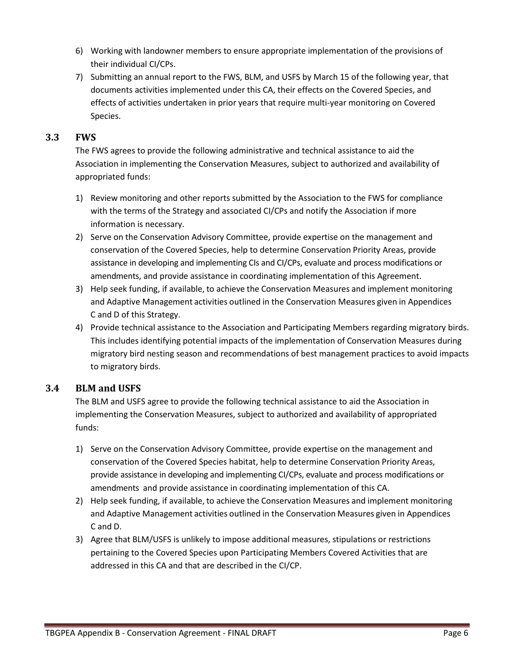- 6) Working with landowner members to ensure appropriate implementation of the provisions of their individual CI/CPs.
- 7) Submitting an annual report to the FWS, BLM, and USFS by March 15 of the following year, that documents activities implemented under this CA, their effects on the Covered Species, and effects of activities undertaken in prior years that require multi-year monitoring on Covered Species.

#### **3.3 FWS**

<span id="page-6-0"></span>The FWS agrees to provide the following administrative and technical assistance to aid the Association in implementing the Conservation Measures, subject to authorized and availability of appropriated funds:

- 1) Review monitoring and other reports submitted by the Association to the FWS for compliance with the terms of the Strategy and associated CI/CPs and notify the Association if more information is necessary.
- 2) Serve on the Conservation Advisory Committee, provide expertise on the management and conservation of the Covered Species, help to determine Conservation Priority Areas, provide assistance in developing and implementing CIs and CI/CPs, evaluate and process modifications or amendments, and provide assistance in coordinating implementation of this Agreement.
- 3) Help seek funding, if available, to achieve the Conservation Measures and implement monitoring and Adaptive Management activities outlined in the Conservation Measures given in Appendices C and D of this Strategy.
- 4) Provide technical assistance to the Association and Participating Members regarding migratory birds. This includes identifying potential impacts of the implementation of Conservation Measures during migratory bird nesting season and recommendations of best management practices to avoid impacts to migratory birds.

#### **3.4 BLM and USFS**

<span id="page-6-1"></span>The BLM and USFS agree to provide the following technical assistance to aid the Association in implementing the Conservation Measures, subject to authorized and availability of appropriated funds:

- 1) Serve on the Conservation Advisory Committee, provide expertise on the management and conservation of the Covered Species habitat, help to determine Conservation Priority Areas, provide assistance in developing and implementing CI/CPs, evaluate and process modifications or amendments and provide assistance in coordinating implementation of this CA.
- 2) Help seek funding, if available, to achieve the Conservation Measures and implement monitoring and Adaptive Management activities outlined in the Conservation Measures given in Appendices C and D.
- 3) Agree that BLM/USFS is unlikely to impose additional measures, stipulations or restrictions pertaining to the Covered Species upon Participating Members Covered Activities that are addressed in this CA and that are described in the CI/CP.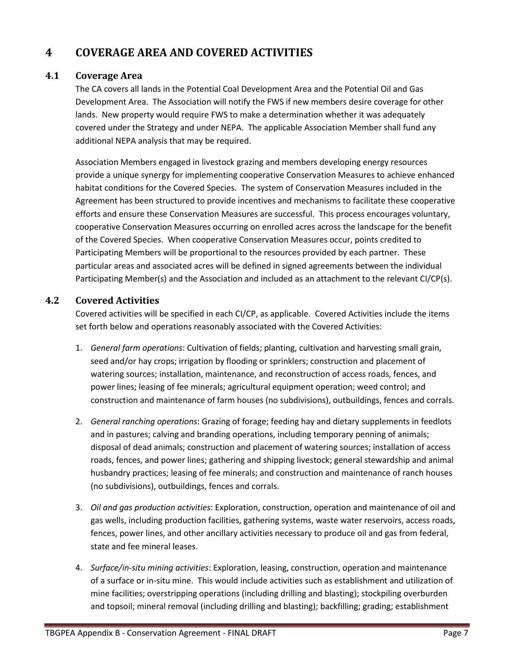## <span id="page-7-0"></span>**4 COVERAGE AREA AND COVERED ACTIVITIES**

#### **4.1 Coverage Area**

<span id="page-7-1"></span>The CA covers all lands in the Potential Coal Development Area and the Potential Oil and Gas Development Area. The Association will notify the FWS if new members desire coverage for other lands. New property would require FWS to make a determination whether it was adequately covered under the Strategy and under NEPA. The applicable Association Member shall fund any additional NEPA analysis that may be required.

Association Members engaged in livestock grazing and members developing energy resources provide a unique synergy for implementing cooperative Conservation Measures to achieve enhanced habitat conditions for the Covered Species. The system of Conservation Measures included in the Agreement has been structured to provide incentives and mechanisms to facilitate these cooperative efforts and ensure these Conservation Measures are successful. This process encourages voluntary, cooperative Conservation Measures occurring on enrolled acres across the landscape for the benefit of the Covered Species. When cooperative Conservation Measures occur, points credited to Participating Members will be proportional to the resources provided by each partner. These particular areas and associated acres will be defined in signed agreements between the individual Participating Member(s) and the Association and included as an attachment to the relevant CI/CP(s).

#### **4.2 Covered Activities**

<span id="page-7-2"></span>Covered activities will be specified in each CI/CP, as applicable. Covered Activities include the items set forth below and operations reasonably associated with the Covered Activities:

- 1. *General farm operations*: Cultivation of fields; planting, cultivation and harvesting small grain, seed and/or hay crops; irrigation by flooding or sprinklers; construction and placement of watering sources; installation, maintenance, and reconstruction of access roads, fences, and power lines; leasing of fee minerals; agricultural equipment operation; weed control; and construction and maintenance of farm houses (no subdivisions), outbuildings, fences and corrals.
- 2. *General ranching operations*: Grazing of forage; feeding hay and dietary supplements in feedlots and in pastures; calving and branding operations, including temporary penning of animals; disposal of dead animals; construction and placement of watering sources; installation of access roads, fences, and power lines; gathering and shipping livestock; general stewardship and animal husbandry practices; leasing of fee minerals; and construction and maintenance of ranch houses (no subdivisions), outbuildings, fences and corrals.
- 3. *Oil and gas production activities*: Exploration, construction, operation and maintenance of oil and gas wells, including production facilities, gathering systems, waste water reservoirs, access roads, fences, power lines, and other ancillary activities necessary to produce oil and gas from federal, state and fee mineral leases.
- 4. *Surface/in-situ mining activities*: Exploration, leasing, construction, operation and maintenance of a surface or in-situ mine. This would include activities such as establishment and utilization of mine facilities; overstripping operations (including drilling and blasting); stockpiling overburden and topsoil; mineral removal (including drilling and blasting); backfilling; grading; establishment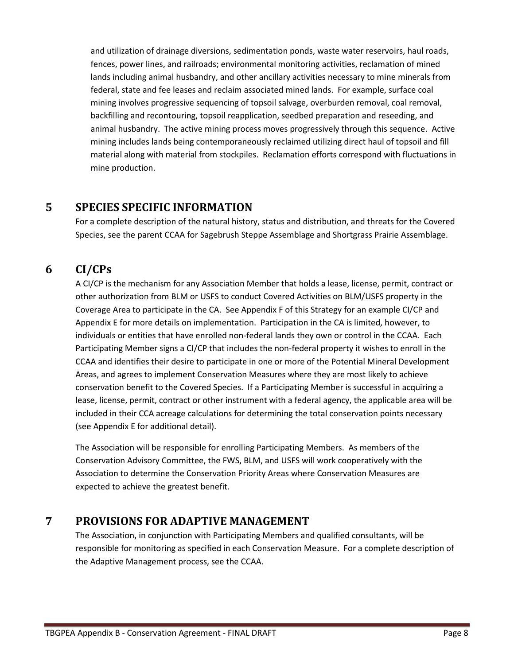and utilization of drainage diversions, sedimentation ponds, waste water reservoirs, haul roads, fences, power lines, and railroads; environmental monitoring activities, reclamation of mined lands including animal husbandry, and other ancillary activities necessary to mine minerals from federal, state and fee leases and reclaim associated mined lands. For example, surface coal mining involves progressive sequencing of topsoil salvage, overburden removal, coal removal, backfilling and recontouring, topsoil reapplication, seedbed preparation and reseeding, and animal husbandry. The active mining process moves progressively through this sequence. Active mining includes lands being contemporaneously reclaimed utilizing direct haul of topsoil and fill material along with material from stockpiles. Reclamation efforts correspond with fluctuations in mine production.

#### <span id="page-8-0"></span>**5 SPECIES SPECIFIC INFORMATION**

For a complete description of the natural history, status and distribution, and threats for the Covered Species, see the parent CCAA for Sagebrush Steppe Assemblage and Shortgrass Prairie Assemblage.

## **6 CI/CPs**

<span id="page-8-1"></span>A CI/CP is the mechanism for any Association Member that holds a lease, license, permit, contract or other authorization from BLM or USFS to conduct Covered Activities on BLM/USFS property in the Coverage Area to participate in the CA. See Appendix F of this Strategy for an example CI/CP and Appendix E for more details on implementation. Participation in the CA is limited, however, to individuals or entities that have enrolled non-federal lands they own or control in the CCAA. Each Participating Member signs a CI/CP that includes the non-federal property it wishes to enroll in the CCAA and identifies their desire to participate in one or more of the Potential Mineral Development Areas, and agrees to implement Conservation Measures where they are most likely to achieve conservation benefit to the Covered Species. If a Participating Member is successful in acquiring a lease, license, permit, contract or other instrument with a federal agency, the applicable area will be included in their CCA acreage calculations for determining the total conservation points necessary (see Appendix E for additional detail).

The Association will be responsible for enrolling Participating Members. As members of the Conservation Advisory Committee, the FWS, BLM, and USFS will work cooperatively with the Association to determine the Conservation Priority Areas where Conservation Measures are expected to achieve the greatest benefit.

## **7 PROVISIONS FOR ADAPTIVE MANAGEMENT**

<span id="page-8-2"></span>The Association, in conjunction with Participating Members and qualified consultants, will be responsible for monitoring as specified in each Conservation Measure. For a complete description of the Adaptive Management process, see the CCAA.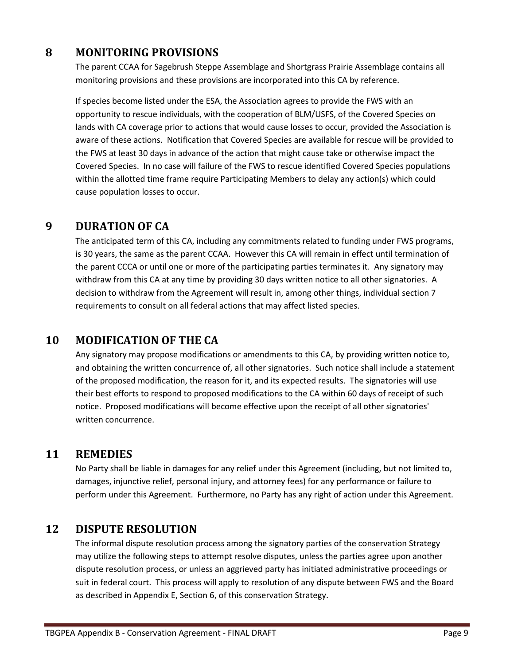## **8 MONITORING PROVISIONS**

<span id="page-9-0"></span>The parent CCAA for Sagebrush Steppe Assemblage and Shortgrass Prairie Assemblage contains all monitoring provisions and these provisions are incorporated into this CA by reference.

If species become listed under the ESA, the Association agrees to provide the FWS with an opportunity to rescue individuals, with the cooperation of BLM/USFS, of the Covered Species on lands with CA coverage prior to actions that would cause losses to occur, provided the Association is aware of these actions. Notification that Covered Species are available for rescue will be provided to the FWS at least 30 days in advance of the action that might cause take or otherwise impact the Covered Species. In no case will failure of the FWS to rescue identified Covered Species populations within the allotted time frame require Participating Members to delay any action(s) which could cause population losses to occur.

### **9 DURATION OF CA**

<span id="page-9-1"></span>The anticipated term of this CA, including any commitments related to funding under FWS programs, is 30 years, the same as the parent CCAA. However this CA will remain in effect until termination of the parent CCCA or until one or more of the participating parties terminates it. Any signatory may withdraw from this CA at any time by providing 30 days written notice to all other signatories. A decision to withdraw from the Agreement will result in, among other things, individual section 7 requirements to consult on all federal actions that may affect listed species.

## **10 MODIFICATION OF THE CA**

<span id="page-9-2"></span>Any signatory may propose modifications or amendments to this CA, by providing written notice to, and obtaining the written concurrence of, all other signatories. Such notice shall include a statement of the proposed modification, the reason for it, and its expected results. The signatories will use their best efforts to respond to proposed modifications to the CA within 60 days of receipt of such notice. Proposed modifications will become effective upon the receipt of all other signatories' written concurrence.

## **11 REMEDIES**

<span id="page-9-3"></span>No Party shall be liable in damages for any relief under this Agreement (including, but not limited to, damages, injunctive relief, personal injury, and attorney fees) for any performance or failure to perform under this Agreement. Furthermore, no Party has any right of action under this Agreement.

#### <span id="page-9-4"></span>**12 DISPUTE RESOLUTION**

The informal dispute resolution process among the signatory parties of the conservation Strategy may utilize the following steps to attempt resolve disputes, unless the parties agree upon another dispute resolution process, or unless an aggrieved party has initiated administrative proceedings or suit in federal court. This process will apply to resolution of any dispute between FWS and the Board as described in Appendix E, Section 6, of this conservation Strategy.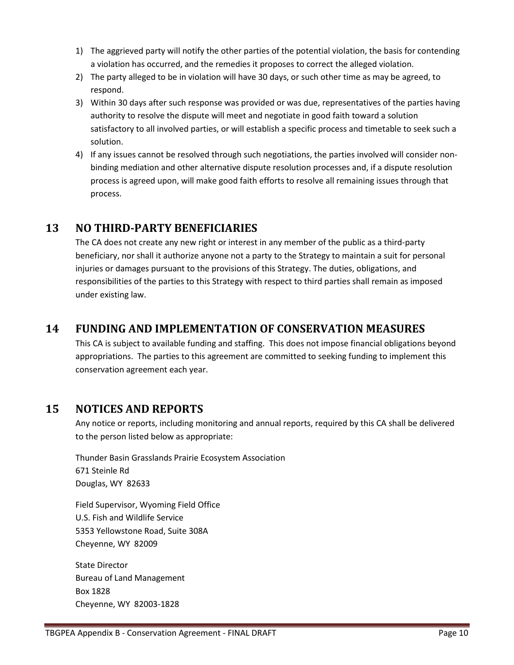- 1) The aggrieved party will notify the other parties of the potential violation, the basis for contending a violation has occurred, and the remedies it proposes to correct the alleged violation.
- 2) The party alleged to be in violation will have 30 days, or such other time as may be agreed, to respond.
- 3) Within 30 days after such response was provided or was due, representatives of the parties having authority to resolve the dispute will meet and negotiate in good faith toward a solution satisfactory to all involved parties, or will establish a specific process and timetable to seek such a solution.
- 4) If any issues cannot be resolved through such negotiations, the parties involved will consider nonbinding mediation and other alternative dispute resolution processes and, if a dispute resolution process is agreed upon, will make good faith efforts to resolve all remaining issues through that process.

## **13 NO THIRD-PARTY BENEFICIARIES**

<span id="page-10-0"></span>The CA does not create any new right or interest in any member of the public as a third-party beneficiary, nor shall it authorize anyone not a party to the Strategy to maintain a suit for personal injuries or damages pursuant to the provisions of this Strategy. The duties, obligations, and responsibilities of the parties to this Strategy with respect to third parties shall remain as imposed under existing law.

## <span id="page-10-1"></span>**14 FUNDING AND IMPLEMENTATION OF CONSERVATION MEASURES**

This CA is subject to available funding and staffing. This does not impose financial obligations beyond appropriations. The parties to this agreement are committed to seeking funding to implement this conservation agreement each year.

#### <span id="page-10-2"></span>**15 NOTICES AND REPORTS**

Any notice or reports, including monitoring and annual reports, required by this CA shall be delivered to the person listed below as appropriate:

Thunder Basin Grasslands Prairie Ecosystem Association 671 Steinle Rd Douglas, WY 82633

Field Supervisor, Wyoming Field Office U.S. Fish and Wildlife Service 5353 Yellowstone Road, Suite 308A Cheyenne, WY 82009

State Director Bureau of Land Management Box 1828 Cheyenne, WY 82003-1828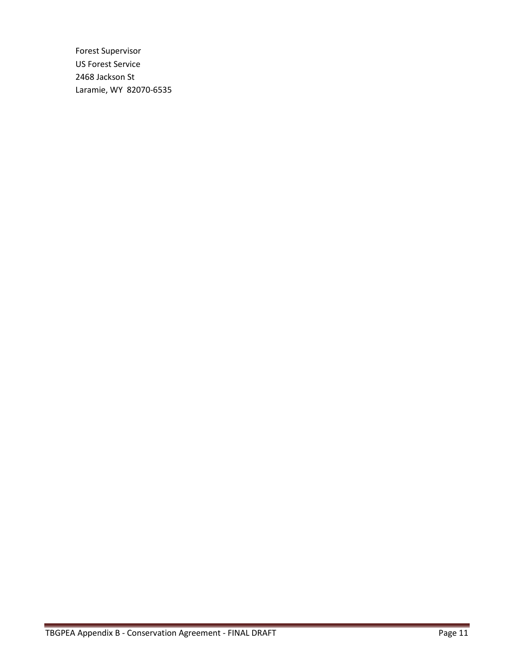Forest Supervisor US Forest Service 2468 Jackson St Laramie, WY 82070-6535